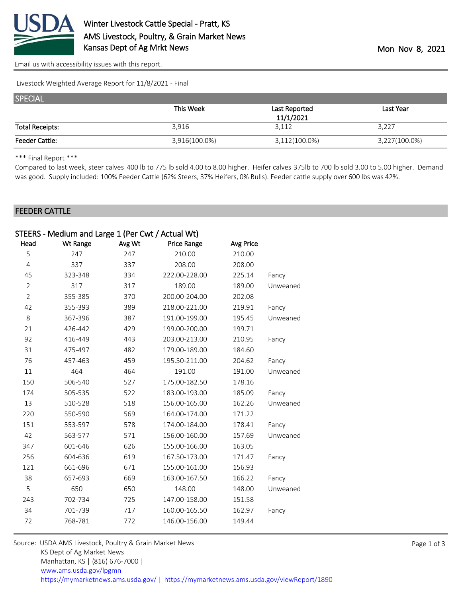

[Email us with accessibility issues with this report.](mailto:mars@ams.usda.gov?subject=508%20issue)

Livestock Weighted Average Report for 11/8/2021 - Final

| <b>SPECIAL</b>         |               |               |               |
|------------------------|---------------|---------------|---------------|
|                        | This Week     | Last Reported | Last Year     |
|                        |               | 11/1/2021     |               |
| <b>Total Receipts:</b> | 3,916         | 3,112         | 3,227         |
| <b>Feeder Cattle:</b>  | 3,916(100.0%) | 3,112(100.0%) | 3,227(100.0%) |

\*\*\* Final Report \*\*\*

Compared to last week, steer calves 400 lb to 775 lb sold 4.00 to 8.00 higher. Heifer calves 375lb to 700 lb sold 3.00 to 5.00 higher. Demand was good. Supply included: 100% Feeder Cattle (62% Steers, 37% Heifers, 0% Bulls). Feeder cattle supply over 600 lbs was 42%.

## FEEDER CATTLE

|                | STEERS - Medium and Large 1 (Per Cwt / Actual Wt) |        |               |                  |          |
|----------------|---------------------------------------------------|--------|---------------|------------------|----------|
| <b>Head</b>    | <b>Wt Range</b>                                   | Avg Wt | Price Range   | <b>Avg Price</b> |          |
| 5              | 247                                               | 247    | 210.00        | 210.00           |          |
| $\overline{4}$ | 337                                               | 337    | 208.00        | 208.00           |          |
| 45             | 323-348                                           | 334    | 222.00-228.00 | 225.14           | Fancy    |
| $\overline{2}$ | 317                                               | 317    | 189.00        | 189.00           | Unweaned |
| $\overline{2}$ | 355-385                                           | 370    | 200.00-204.00 | 202.08           |          |
| 42             | 355-393                                           | 389    | 218.00-221.00 | 219.91           | Fancy    |
| 8              | 367-396                                           | 387    | 191.00-199.00 | 195.45           | Unweaned |
| 21             | 426-442                                           | 429    | 199.00-200.00 | 199.71           |          |
| 92             | 416-449                                           | 443    | 203.00-213.00 | 210.95           | Fancy    |
| 31             | 475-497                                           | 482    | 179.00-189.00 | 184.60           |          |
| 76             | 457-463                                           | 459    | 195.50-211.00 | 204.62           | Fancy    |
| 11             | 464                                               | 464    | 191.00        | 191.00           | Unweaned |
| 150            | 506-540                                           | 527    | 175.00-182.50 | 178.16           |          |
| 174            | 505-535                                           | 522    | 183.00-193.00 | 185.09           | Fancy    |
| 13             | 510-528                                           | 518    | 156.00-165.00 | 162.26           | Unweaned |
| 220            | 550-590                                           | 569    | 164.00-174.00 | 171.22           |          |
| 151            | 553-597                                           | 578    | 174.00-184.00 | 178.41           | Fancy    |
| 42             | 563-577                                           | 571    | 156.00-160.00 | 157.69           | Unweaned |
| 347            | 601-646                                           | 626    | 155.00-166.00 | 163.05           |          |
| 256            | 604-636                                           | 619    | 167.50-173.00 | 171.47           | Fancy    |
| 121            | 661-696                                           | 671    | 155.00-161.00 | 156.93           |          |
| 38             | 657-693                                           | 669    | 163.00-167.50 | 166.22           | Fancy    |
| 5              | 650                                               | 650    | 148.00        | 148.00           | Unweaned |
| 243            | 702-734                                           | 725    | 147.00-158.00 | 151.58           |          |
| 34             | 701-739                                           | 717    | 160.00-165.50 | 162.97           | Fancy    |
| 72             | 768-781                                           | 772    | 146.00-156.00 | 149.44           |          |

| Source: USDA AMS Livestock, Poultry & Grain Market News                                |
|----------------------------------------------------------------------------------------|
| KS Dept of Ag Market News                                                              |
| Manhattan, KS   (816) 676-7000                                                         |
| www.ams.usda.gov/lpgmn                                                                 |
| https://mymarketnews.ams.usda.gov/   https://mymarketnews.ams.usda.gov/viewReport/1890 |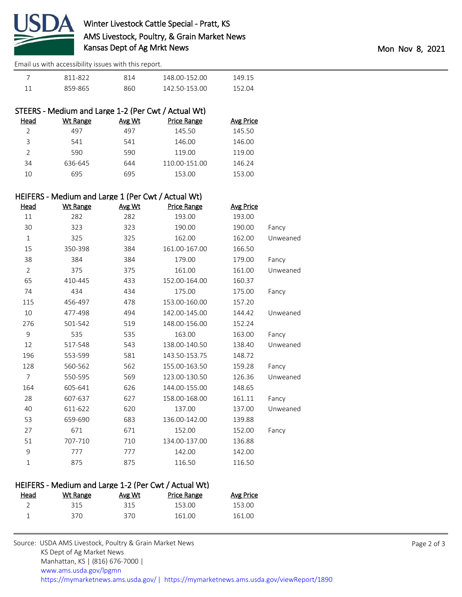

## Winter Livestock Cattle Special - Pratt, KS AMS Livestock, Poultry, & Grain Market News Kansas Dept of Ag Mrkt News **Mon 2021** Mon Nov 8, 2021

[Email us with accessibility issues with this report.](mailto:mars@ams.usda.gov?subject=508%20issue)

| 811-822 | 814 | 148 00-152 00 | 149.15 |
|---------|-----|---------------|--------|
| 859-865 | 860 | 142 50-153 00 | 152.04 |

|               | STEERS - Medium and Large 1-2 (Per Cwt / Actual Wt) |        |                    |                  |
|---------------|-----------------------------------------------------|--------|--------------------|------------------|
| Head          | <b>Wt Range</b>                                     | Avg Wt | <b>Price Range</b> | <b>Avg Price</b> |
|               | 497                                                 | 497    | 145.50             | 145.50           |
| 3             | 541                                                 | 541    | 146.00             | 146.00           |
| $\mathcal{P}$ | 590                                                 | 590    | 119.00             | 119.00           |
| 34            | 636-645                                             | 644    | 110.00-151.00      | 146.24           |
| 10            | 695                                                 | 695    | 153.00             | 153.00           |
|               |                                                     |        |                    |                  |

## HEIFERS - Medium and Large 1 (Per Cwt / Actual Wt)

| Head           | <b>Wt Range</b> | Avg Wt | Price Range   | <b>Avg Price</b> |          |
|----------------|-----------------|--------|---------------|------------------|----------|
| 11             | 282             | 282    | 193.00        | 193.00           |          |
| 30             | 323             | 323    | 190.00        | 190.00           | Fancy    |
| $1\,$          | 325             | 325    | 162.00        | 162.00           | Unweaned |
| 15             | 350-398         | 384    | 161.00-167.00 | 166.50           |          |
| 38             | 384             | 384    | 179.00        | 179.00           | Fancy    |
| $\overline{2}$ | 375             | 375    | 161.00        | 161.00           | Unweaned |
| 65             | 410-445         | 433    | 152.00-164.00 | 160.37           |          |
| 74             | 434             | 434    | 175.00        | 175.00           | Fancy    |
| 115            | 456-497         | 478    | 153.00-160.00 | 157.20           |          |
| 10             | 477-498         | 494    | 142.00-145.00 | 144.42           | Unweaned |
| 276            | 501-542         | 519    | 148.00-156.00 | 152.24           |          |
| 9              | 535             | 535    | 163.00        | 163.00           | Fancy    |
| 12             | 517-548         | 543    | 138.00-140.50 | 138.40           | Unweaned |
| 196            | 553-599         | 581    | 143.50-153.75 | 148.72           |          |
| 128            | 560-562         | 562    | 155.00-163.50 | 159.28           | Fancy    |
| $\overline{7}$ | 550-595         | 569    | 123.00-130.50 | 126.36           | Unweaned |
| 164            | 605-641         | 626    | 144.00-155.00 | 148.65           |          |
| 28             | 607-637         | 627    | 158.00-168.00 | 161.11           | Fancy    |
| 40             | 611-622         | 620    | 137.00        | 137.00           | Unweaned |
| 53             | 659-690         | 683    | 136.00-142.00 | 139.88           |          |
| 27             | 671             | 671    | 152.00        | 152.00           | Fancy    |
| 51             | 707-710         | 710    | 134.00-137.00 | 136.88           |          |
| 9              | 777             | 777    | 142.00        | 142.00           |          |
| $\mathbf{1}$   | 875             | 875    | 116.50        | 116.50           |          |

## HEIFERS - Medium and Large 1-2 (Per Cwt / Actual Wt)

| <u>Head</u> | Wt Range | Avg Wt | <b>Price Range</b> | <b>Avg Price</b> |
|-------------|----------|--------|--------------------|------------------|
|             | 315      | 315    | 153.00             | 153.00           |
|             | 370      | 370    | 161.00             | 161.00           |